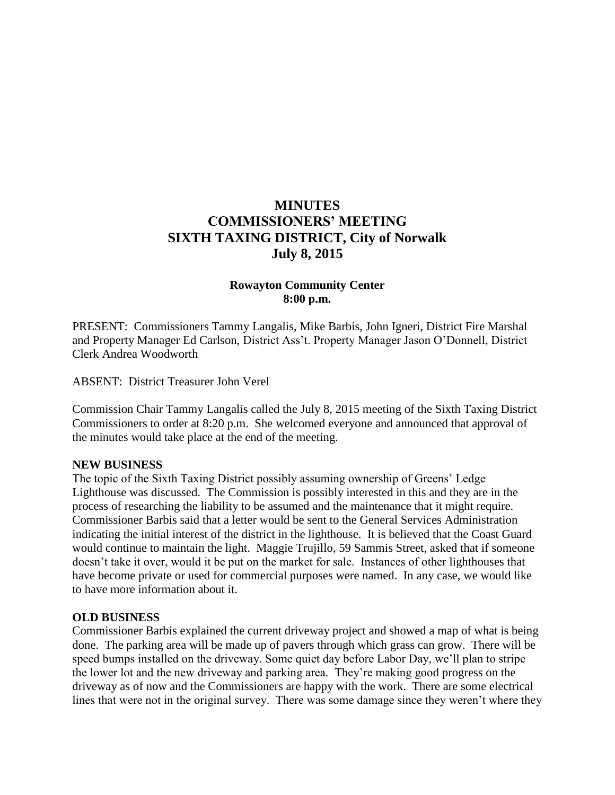# **MINUTES COMMISSIONERS' MEETING SIXTH TAXING DISTRICT, City of Norwalk July 8, 2015**

## **Rowayton Community Center 8:00 p.m.**

PRESENT: Commissioners Tammy Langalis, Mike Barbis, John Igneri, District Fire Marshal and Property Manager Ed Carlson, District Ass't. Property Manager Jason O'Donnell, District Clerk Andrea Woodworth

ABSENT: District Treasurer John Verel

Commission Chair Tammy Langalis called the July 8, 2015 meeting of the Sixth Taxing District Commissioners to order at 8:20 p.m. She welcomed everyone and announced that approval of the minutes would take place at the end of the meeting.

#### **NEW BUSINESS**

The topic of the Sixth Taxing District possibly assuming ownership of Greens' Ledge Lighthouse was discussed. The Commission is possibly interested in this and they are in the process of researching the liability to be assumed and the maintenance that it might require. Commissioner Barbis said that a letter would be sent to the General Services Administration indicating the initial interest of the district in the lighthouse. It is believed that the Coast Guard would continue to maintain the light. Maggie Trujillo, 59 Sammis Street, asked that if someone doesn't take it over, would it be put on the market for sale. Instances of other lighthouses that have become private or used for commercial purposes were named. In any case, we would like to have more information about it.

#### **OLD BUSINESS**

Commissioner Barbis explained the current driveway project and showed a map of what is being done. The parking area will be made up of pavers through which grass can grow. There will be speed bumps installed on the driveway. Some quiet day before Labor Day, we'll plan to stripe the lower lot and the new driveway and parking area. They're making good progress on the driveway as of now and the Commissioners are happy with the work. There are some electrical lines that were not in the original survey. There was some damage since they weren't where they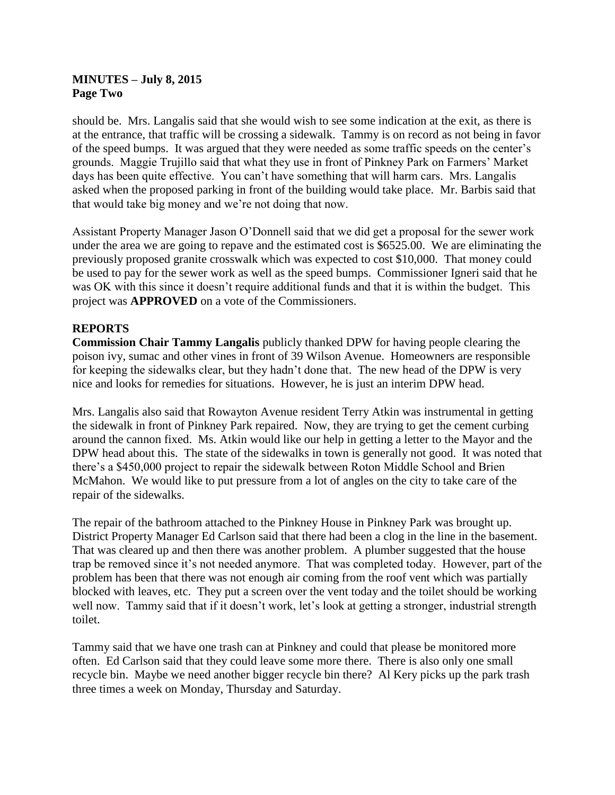## **MINUTES – July 8, 2015 Page Two**

should be. Mrs. Langalis said that she would wish to see some indication at the exit, as there is at the entrance, that traffic will be crossing a sidewalk. Tammy is on record as not being in favor of the speed bumps. It was argued that they were needed as some traffic speeds on the center's grounds. Maggie Trujillo said that what they use in front of Pinkney Park on Farmers' Market days has been quite effective. You can't have something that will harm cars. Mrs. Langalis asked when the proposed parking in front of the building would take place. Mr. Barbis said that that would take big money and we're not doing that now.

Assistant Property Manager Jason O'Donnell said that we did get a proposal for the sewer work under the area we are going to repave and the estimated cost is \$6525.00. We are eliminating the previously proposed granite crosswalk which was expected to cost \$10,000. That money could be used to pay for the sewer work as well as the speed bumps. Commissioner Igneri said that he was OK with this since it doesn't require additional funds and that it is within the budget. This project was **APPROVED** on a vote of the Commissioners.

# **REPORTS**

**Commission Chair Tammy Langalis** publicly thanked DPW for having people clearing the poison ivy, sumac and other vines in front of 39 Wilson Avenue. Homeowners are responsible for keeping the sidewalks clear, but they hadn't done that. The new head of the DPW is very nice and looks for remedies for situations. However, he is just an interim DPW head.

Mrs. Langalis also said that Rowayton Avenue resident Terry Atkin was instrumental in getting the sidewalk in front of Pinkney Park repaired. Now, they are trying to get the cement curbing around the cannon fixed. Ms. Atkin would like our help in getting a letter to the Mayor and the DPW head about this. The state of the sidewalks in town is generally not good. It was noted that there's a \$450,000 project to repair the sidewalk between Roton Middle School and Brien McMahon. We would like to put pressure from a lot of angles on the city to take care of the repair of the sidewalks.

The repair of the bathroom attached to the Pinkney House in Pinkney Park was brought up. District Property Manager Ed Carlson said that there had been a clog in the line in the basement. That was cleared up and then there was another problem. A plumber suggested that the house trap be removed since it's not needed anymore. That was completed today. However, part of the problem has been that there was not enough air coming from the roof vent which was partially blocked with leaves, etc. They put a screen over the vent today and the toilet should be working well now. Tammy said that if it doesn't work, let's look at getting a stronger, industrial strength toilet.

Tammy said that we have one trash can at Pinkney and could that please be monitored more often. Ed Carlson said that they could leave some more there. There is also only one small recycle bin. Maybe we need another bigger recycle bin there? Al Kery picks up the park trash three times a week on Monday, Thursday and Saturday.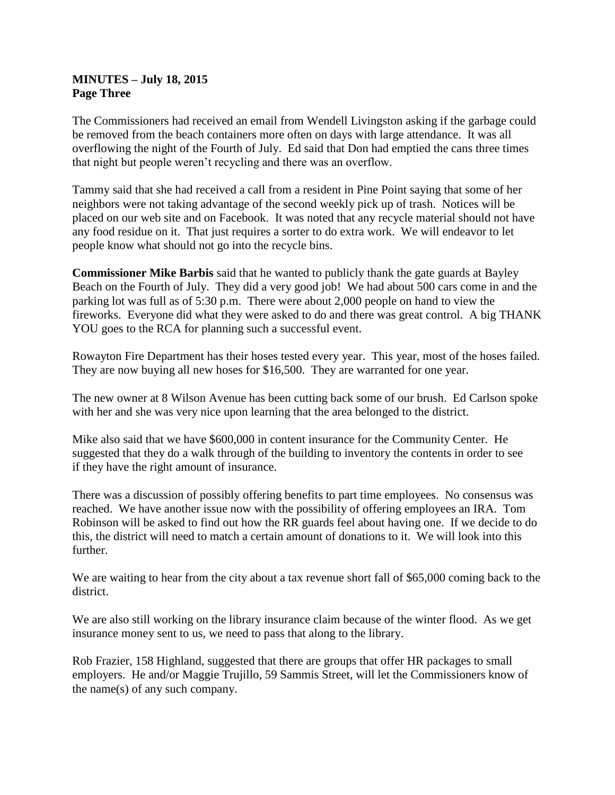#### **MINUTES – July 18, 2015 Page Three**

The Commissioners had received an email from Wendell Livingston asking if the garbage could be removed from the beach containers more often on days with large attendance. It was all overflowing the night of the Fourth of July. Ed said that Don had emptied the cans three times that night but people weren't recycling and there was an overflow.

Tammy said that she had received a call from a resident in Pine Point saying that some of her neighbors were not taking advantage of the second weekly pick up of trash. Notices will be placed on our web site and on Facebook. It was noted that any recycle material should not have any food residue on it. That just requires a sorter to do extra work. We will endeavor to let people know what should not go into the recycle bins.

**Commissioner Mike Barbis** said that he wanted to publicly thank the gate guards at Bayley Beach on the Fourth of July. They did a very good job! We had about 500 cars come in and the parking lot was full as of 5:30 p.m. There were about 2,000 people on hand to view the fireworks. Everyone did what they were asked to do and there was great control. A big THANK YOU goes to the RCA for planning such a successful event.

Rowayton Fire Department has their hoses tested every year. This year, most of the hoses failed. They are now buying all new hoses for \$16,500. They are warranted for one year.

The new owner at 8 Wilson Avenue has been cutting back some of our brush. Ed Carlson spoke with her and she was very nice upon learning that the area belonged to the district.

Mike also said that we have \$600,000 in content insurance for the Community Center. He suggested that they do a walk through of the building to inventory the contents in order to see if they have the right amount of insurance.

There was a discussion of possibly offering benefits to part time employees. No consensus was reached. We have another issue now with the possibility of offering employees an IRA. Tom Robinson will be asked to find out how the RR guards feel about having one. If we decide to do this, the district will need to match a certain amount of donations to it. We will look into this further.

We are waiting to hear from the city about a tax revenue short fall of \$65,000 coming back to the district.

We are also still working on the library insurance claim because of the winter flood. As we get insurance money sent to us, we need to pass that along to the library.

Rob Frazier, 158 Highland, suggested that there are groups that offer HR packages to small employers. He and/or Maggie Trujillo, 59 Sammis Street, will let the Commissioners know of the name(s) of any such company.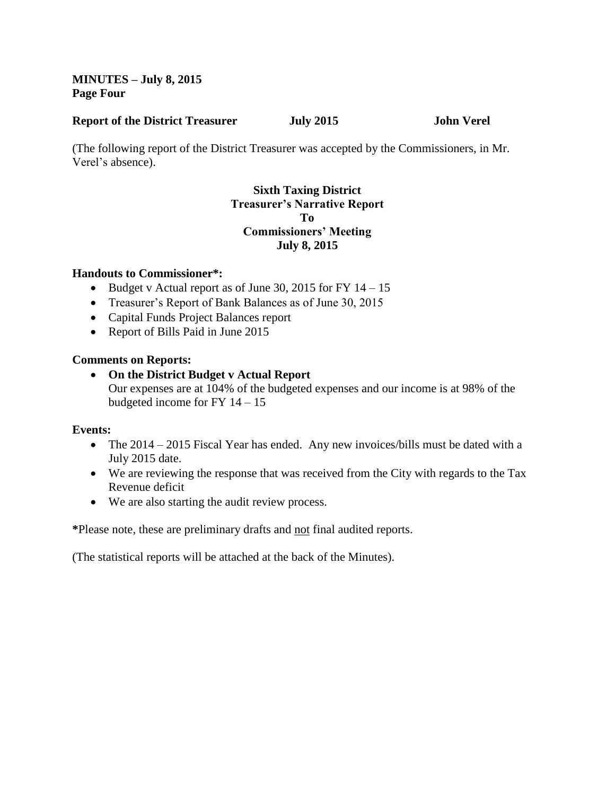## **MINUTES – July 8, 2015 Page Four**

#### **Report of the District Treasurer July 2015 John Verel**

(The following report of the District Treasurer was accepted by the Commissioners, in Mr. Verel's absence).

## **Sixth Taxing District Treasurer's Narrative Report To Commissioners' Meeting July 8, 2015**

#### **Handouts to Commissioner\*:**

- Budget v Actual report as of June 30, 2015 for FY  $14 15$
- Treasurer's Report of Bank Balances as of June 30, 2015
- Capital Funds Project Balances report
- Report of Bills Paid in June 2015

# **Comments on Reports:**

 **On the District Budget v Actual Report** Our expenses are at 104% of the budgeted expenses and our income is at 98% of the budgeted income for FY 14 – 15

# **Events:**

- The 2014 2015 Fiscal Year has ended. Any new invoices/bills must be dated with a July 2015 date.
- We are reviewing the response that was received from the City with regards to the Tax Revenue deficit
- We are also starting the audit review process.

**\***Please note, these are preliminary drafts and not final audited reports.

(The statistical reports will be attached at the back of the Minutes).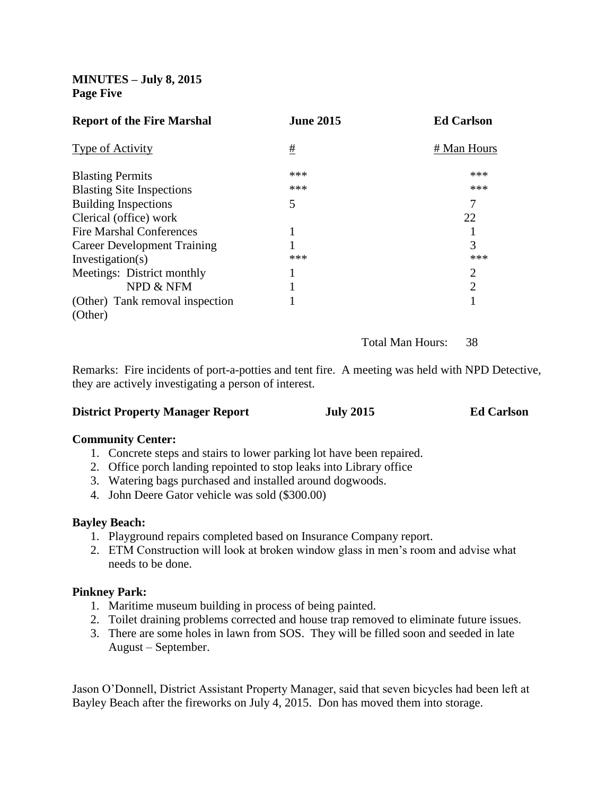## **MINUTES – July 8, 2015 Page Five**

| <b>Report of the Fire Marshal</b>  | <b>June 2015</b> | <b>Ed Carlson</b> |
|------------------------------------|------------------|-------------------|
| <b>Type of Activity</b>            | #                | # Man Hours       |
| <b>Blasting Permits</b>            | ***              | ***               |
| <b>Blasting Site Inspections</b>   | ***              | ***               |
| <b>Building Inspections</b>        | 5                | 7                 |
| Clerical (office) work             |                  | 22                |
| <b>Fire Marshal Conferences</b>    |                  |                   |
| <b>Career Development Training</b> |                  | 3                 |
| Investigation(s)                   | ***              | ***               |
| Meetings: District monthly         |                  | $\overline{2}$    |
| NPD & NFM                          |                  | $\overline{2}$    |
| (Other) Tank removal inspection    |                  |                   |
| (Other)                            |                  |                   |

Total Man Hours: 38

Remarks: Fire incidents of port-a-potties and tent fire. A meeting was held with NPD Detective, they are actively investigating a person of interest.

#### **District Property Manager Report July 2015 Ed Carlson**

#### **Community Center:**

- 1. Concrete steps and stairs to lower parking lot have been repaired.
- 2. Office porch landing repointed to stop leaks into Library office
- 3. Watering bags purchased and installed around dogwoods.
- 4. John Deere Gator vehicle was sold (\$300.00)

#### **Bayley Beach:**

- 1. Playground repairs completed based on Insurance Company report.
- 2. ETM Construction will look at broken window glass in men's room and advise what needs to be done.

#### **Pinkney Park:**

- 1. Maritime museum building in process of being painted.
- 2. Toilet draining problems corrected and house trap removed to eliminate future issues.
- 3. There are some holes in lawn from SOS. They will be filled soon and seeded in late August – September.

Jason O'Donnell, District Assistant Property Manager, said that seven bicycles had been left at Bayley Beach after the fireworks on July 4, 2015. Don has moved them into storage.